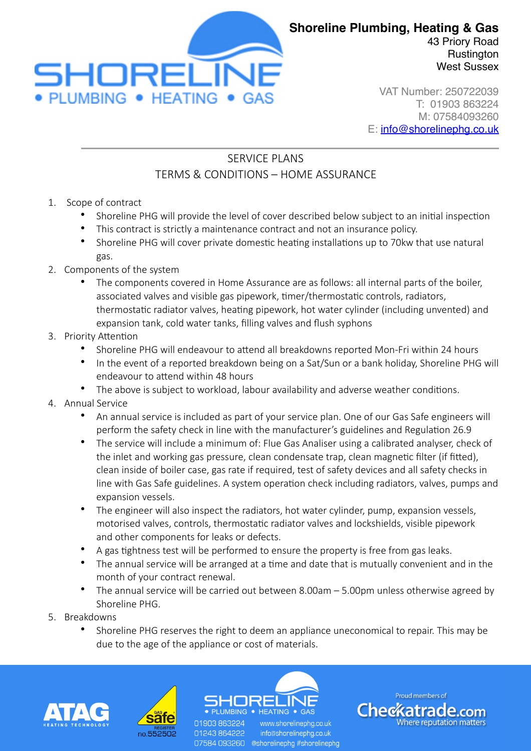

West Sussex VAT Number: 250722039

T: 01903 863224 M: 07584093260 E: [info@shorelinephg.co.uk](mailto:info@shorelinephg.co.uk)

## SERVICE PLANS TERMS & CONDITIONS – HOME ASSURANCE

- 1. Scope of contract
	- Shoreline PHG will provide the level of cover described below subject to an initial inspection
	- This contract is strictly a maintenance contract and not an insurance policy.
	- Shoreline PHG will cover private domestic heating installations up to 70kw that use natural gas.
- 2. Components of the system
	- The components covered in Home Assurance are as follows: all internal parts of the boiler, associated valves and visible gas pipework, timer/thermostatic controls, radiators, thermostatic radiator valves, heating pipework, hot water cylinder (including unvented) and expansion tank, cold water tanks, filling valves and flush syphons
- 3. Priority Attention
	- Shoreline PHG will endeavour to attend all breakdowns reported Mon-Fri within 24 hours
	- In the event of a reported breakdown being on a Sat/Sun or a bank holiday, Shoreline PHG will endeavour to attend within 48 hours
	- The above is subject to workload, labour availability and adverse weather conditions.
- 4. Annual Service
	- An annual service is included as part of your service plan. One of our Gas Safe engineers will perform the safety check in line with the manufacturer's guidelines and Regulation 26.9
	- The service will include a minimum of: Flue Gas Analiser using a calibrated analyser, check of the inlet and working gas pressure, clean condensate trap, clean magnetic filter (if fitted), clean inside of boiler case, gas rate if required, test of safety devices and all safety checks in line with Gas Safe guidelines. A system operation check including radiators, valves, pumps and expansion vessels.
	- The engineer will also inspect the radiators, hot water cylinder, pump, expansion vessels, motorised valves, controls, thermostatic radiator valves and lockshields, visible pipework and other components for leaks or defects.
	- A gas tightness test will be performed to ensure the property is free from gas leaks.
	- The annual service will be arranged at a time and date that is mutually convenient and in the month of your contract renewal.
	- The annual service will be carried out between 8.00am 5.00pm unless otherwise agreed by Shoreline PHG.
- 5. Breakdowns
	- Shoreline PHG reserves the right to deem an appliance uneconomical to repair. This may be due to the age of the appliance or cost of materials.





01903 863224 01243864222

HEATING . GAS www.shorelinepha.co.uk info@shorelinephg.co.uk 07584 093260 @shorelinephg #shorelinephg

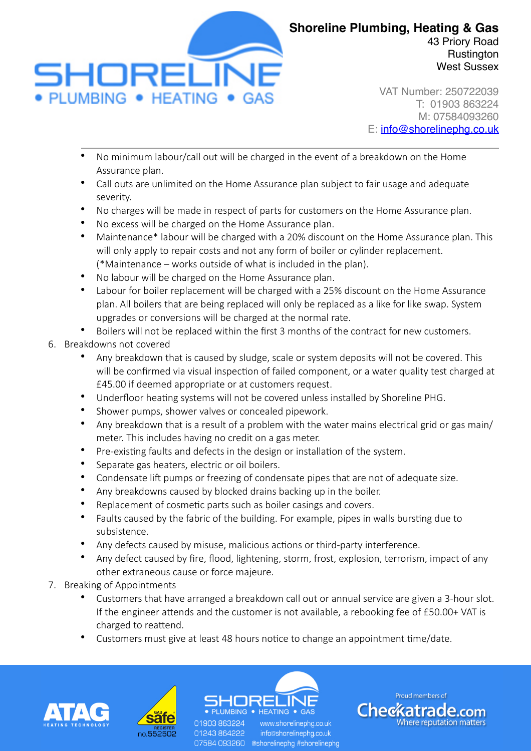

VAT Number: 250722039 T: 01903 863224 M: 07584093260 E: [info@shorelinephg.co.uk](mailto:info@shorelinephg.co.uk)

- No minimum labour/call out will be charged in the event of a breakdown on the Home Assurance plan.
- Call outs are unlimited on the Home Assurance plan subject to fair usage and adequate severity.
- No charges will be made in respect of parts for customers on the Home Assurance plan.
- No excess will be charged on the Home Assurance plan.
- Maintenance\* labour will be charged with a 20% discount on the Home Assurance plan. This will only apply to repair costs and not any form of boiler or cylinder replacement. (\*Maintenance – works outside of what is included in the plan).
- No labour will be charged on the Home Assurance plan.
- Labour for boiler replacement will be charged with a 25% discount on the Home Assurance plan. All boilers that are being replaced will only be replaced as a like for like swap. System upgrades or conversions will be charged at the normal rate.
- Boilers will not be replaced within the first 3 months of the contract for new customers.
- 6. Breakdowns not covered
	- Any breakdown that is caused by sludge, scale or system deposits will not be covered. This will be confirmed via visual inspection of failed component, or a water quality test charged at £45.00 if deemed appropriate or at customers request.
	- Underfloor heating systems will not be covered unless installed by Shoreline PHG.
	- Shower pumps, shower valves or concealed pipework.
	- Any breakdown that is a result of a problem with the water mains electrical grid or gas main/ meter. This includes having no credit on a gas meter.
	- Pre-existing faults and defects in the design or installation of the system.
	- Separate gas heaters, electric or oil boilers.
	- Condensate lift pumps or freezing of condensate pipes that are not of adequate size.
	- Any breakdowns caused by blocked drains backing up in the boiler.
	- Replacement of cosmetic parts such as boiler casings and covers.
	- Faults caused by the fabric of the building. For example, pipes in walls bursting due to subsistence.
	- Any defects caused by misuse, malicious actions or third-party interference.
	- Any defect caused by fire, flood, lightening, storm, frost, explosion, terrorism, impact of any other extraneous cause or force majeure.
- 7. Breaking of Appointments
	- Customers that have arranged a breakdown call out or annual service are given a 3-hour slot. If the engineer attends and the customer is not available, a rebooking fee of £50.00+ VAT is charged to reattend.
	- Customers must give at least 48 hours notice to change an appointment time/date.





01903 863224 01243864222

 $\bullet$  HEATING  $\bullet$  GAS www.shorelinepha.co.uk info@shorelinephg.co.uk 07584 093260 @shorelinephg #shorelinephg

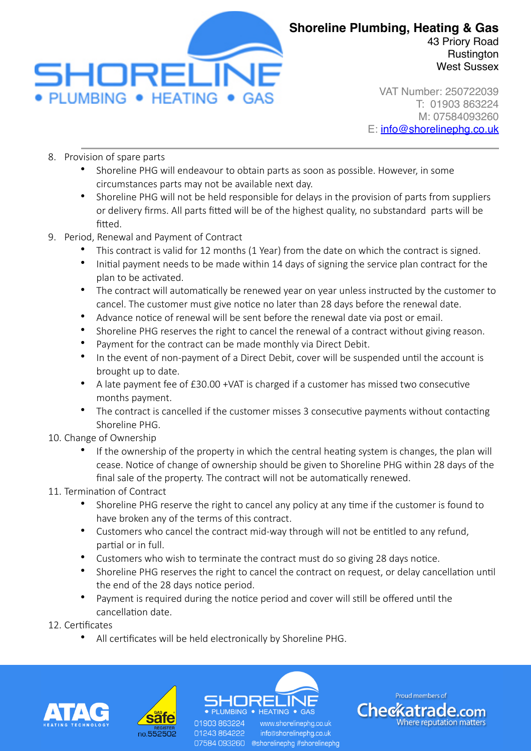

**Rustington** West Sussex

VAT Number: 250722039 T: 01903 863224 M: 07584093260 E: [info@shorelinephg.co.uk](mailto:info@shorelinephg.co.uk)

- 8. Provision of spare parts
	- Shoreline PHG will endeavour to obtain parts as soon as possible. However, in some circumstances parts may not be available next day.
	- Shoreline PHG will not be held responsible for delays in the provision of parts from suppliers or delivery firms. All parts fitted will be of the highest quality, no substandard parts will be fitted.
- 9. Period, Renewal and Payment of Contract
	- This contract is valid for 12 months (1 Year) from the date on which the contract is signed.
	- Initial payment needs to be made within 14 days of signing the service plan contract for the plan to be activated.
	- The contract will automatically be renewed year on year unless instructed by the customer to cancel. The customer must give notice no later than 28 days before the renewal date.
	- Advance notice of renewal will be sent before the renewal date via post or email.
	- Shoreline PHG reserves the right to cancel the renewal of a contract without giving reason.
	- Payment for the contract can be made monthly via Direct Debit.
	- In the event of non-payment of a Direct Debit, cover will be suspended until the account is brought up to date.
	- A late payment fee of £30.00 +VAT is charged if a customer has missed two consecutive months payment.
	- The contract is cancelled if the customer misses 3 consecutive payments without contacting Shoreline PHG.
- 10. Change of Ownership
	- If the ownership of the property in which the central heating system is changes, the plan will cease. Notice of change of ownership should be given to Shoreline PHG within 28 days of the final sale of the property. The contract will not be automatically renewed.
- 11. Termination of Contract
	- Shoreline PHG reserve the right to cancel any policy at any time if the customer is found to have broken any of the terms of this contract.
	- Customers who cancel the contract mid-way through will not be entitled to any refund, partial or in full.
	- Customers who wish to terminate the contract must do so giving 28 days notice.
	- Shoreline PHG reserves the right to cancel the contract on request, or delay cancellation until the end of the 28 days notice period.
	- Payment is required during the notice period and cover will still be offered until the cancellation date.
- 12. Certificates
	- All certificates will be held electronically by Shoreline PHG.





01903 863224 01243864222

 $\bullet$  heating  $\bullet$  gas www.shorelinepha.co.uk info@shorelinephg.co.uk 07584 093260 @shorelinephg #shorelinephg